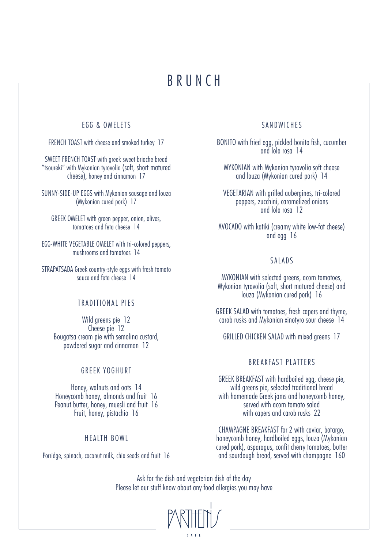# BRUNCH

# EGG & OMELETS

FRENCH TOAST with cheese and smoked turkey 17

SWEET FRENCH TOAST with greek sweet brioche bread "tsoureki" with Mykonian tyrovolia (soft, short matured cheese), honey and cinnamon 17

SUNNY-SIDE-UP EGGS with Mykonian sausage and louza (Mykonian cured pork) 17

GREEK OMELET with green pepper, onion, olives, tomatoes and feta cheese 14

EGG-WHITE VEGETABLE OMELET with tri-colored peppers, mushrooms and tomatoes 14

STRAPATSADA Greek country-style eggs with fresh tomato squce and feta cheese 14

# TRADITIONAL PIES

Wild greens pie 12 Cheese pie 12 Bougatsa cream pie with semolina custard, powdered sugar and cinnamon 12

### GREEK YOGHURT

Honey, walnuts and oats 14 Honeycomb honey, almonds and fruit 16 Peanut butter, honey, muesli and fruit 16 Fruit, honey, pistachio 16

### HEALTH BOWL

Porridge, spinach, coconut milk, chia seeds and fruit 16

# **SANDWICHES**

BONITO with fried egg, pickled bonito fish, cucumber and lola rosa 14

MYKONIAN with Mykonian tyrovolia soft cheese and louza (Mykonian cured pork) 14

VEGETARIAN with grilled aubergines, tri-colored peppers, zucchini, caramelized onions and lola rosa 12

AVOCADO with katiki (creamy white low-fat cheese) and egg 16

# SALADS

MYKONIAN with selected greens, acorn tomatoes, Mykonian tyrovolia (soft, short matured cheese) and louza (Mykonian cured pork) 16

GREEK SALAD with tomatoes, fresh capers and thyme, carob rusks and Mykonian xinotyro sour cheese 14

GRILLED CHICKEN SALAD with mixed greens 17

### BREAKFAST PLATTERS

GREEK BREAKFAST with hardboiled egg, cheese pie, wild greens pie, selected traditional bread with homemade Greek jams and honeycomb honey, served with acorn tomato salad with capers and carob rusks 22

CHAMPAGNE BREAKFAST for 2 with caviar, botargo, honeycomb honey, hardboiled eggs, louza (Mykonian cured pork), asparagus, confit cherry tomatoes, butter and sourdough bread, served with champagne 160

Ask for the dish and vegeterian dish of the day Please let our stuff know about any food allergies you may have

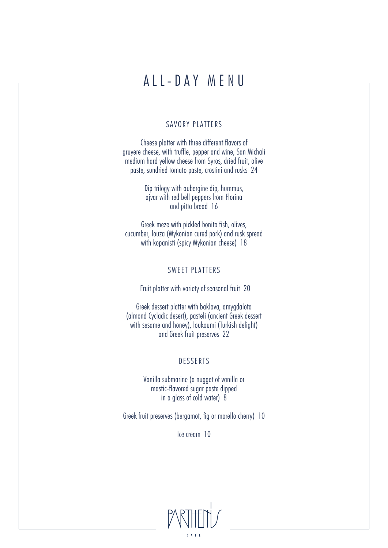# ALL-DAY MENU

### SAVORY PLATTERS

Cheese platter with three different flavors of gruyere cheese, with truffle, pepper and wine, San Michali medium hard yellow cheese from Syros, dried fruit, olive paste, sundried tomato paste, crostini and rusks 24

> Dip trilogy with aubergine dip, hummus, ajvar with red bell peppers from Florina and pitta bread 16

Greek meze with pickled bonito fish, olives, cucumber, louza (Mykonian cured pork) and rusk spread with kopanisti (spicy Mykonian cheese) 18

# SWEET PLATTERS

Fruit platter with variety of seasonal fruit 20

Greek dessert platter with baklava, amygdalota (almond Cycladic desert), pasteli (ancient Greek dessert with sesame and honey), loukoumi (Turkish delight) and Greek fruit preserves 22

# DESSERTS

Vanilla submarine (a nugget of vanilla or mastic-flavored sugar paste dipped in a glass of cold water) 8

Greek fruit preserves (bergamot, fig or morello cherry) 10

Ice cream 10

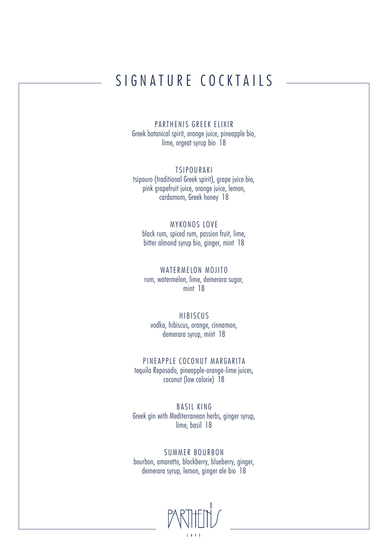# SIGNATURE COCKTAILS

PARTHENIS GREEK ELIXIR Greek botanical spirit, orange juice, pineapple bio, lime, orgeat syrup bio 18

**TSIPOURAKI** tsipouro (traditional Greek spirit), grape juice bio, pink grapefruit juice, orange juice, lemon, cardamom, Greek honey 18

MYKONOS LOVE black rum, spiced rum, passion fruit, lime, bitter almond syrup bio, ginger, mint 18

WATERMELON MOJITO rum, watermelon, lime, demerara sugar, mint 18

HIBISCUS vodka, hibiscus, orange, cinnamon, demerara syrup, mint 18

PINEAPPLE COCONUT MARGARITA tequila Reposado, pineapple-orange-lime juices, coconut (low calorie) 18

BASIL KING Greek gin with Mediterranean herbs, ginger syrup, lime, basil 18

SUMMER BOURBON bourbon, amaretto, blackberry, blueberry, ginger, demerara syrup, lemon, ginger ale bio 18

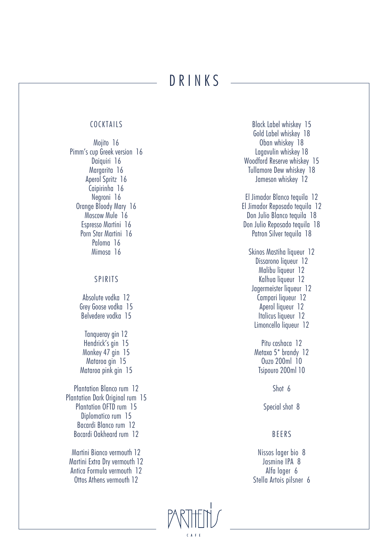# DRINKS

### COCKTAILS

Mojito 16 Pimm's cup Greek version 16 Daiquiri 16 Margarita 16 Aperol Spritz 16 Caipirinha 16 Negroni 16 Orange Bloody Mary 16 Moscow Mule 16 Espresso Martini 16 Porn Star Martini 16 Paloma 16 Mimosa 16

### SPIRITS

Absolute vodka 12 Grey Goose vodka 15 Belvedere vodka 15 Tanqueray gin 12

Hendrick's gin 15 Monkey 47 gin 15 Mataroa gin 15 Mataroa pink gin 15

Plantation Blanco rum 12 Plantation Dark Original rum 15 Plantation OFTD rum 15 Diplomatico rum 15 Bacardi Blanco rum 12 Bacardi Oakheard rum 12

Martini Bianco vermouth 12 Martini Extra Dry vermouth 12 Antica Formula vermouth 12 Ottos Athens vermouth 12

Black Label whiskey 15 Gold Label whiskey 18 Oban whiskey 18 Lagavulin whiskey 18 Woodford Reserve whiskey 15 Tullamore Dew whiskey 18 Jameson whiskey 12 El Jimador Blanco tequila 12 El Jimador Reposado tequila 12 Don Julio Blanco tequila 18 Don Julio Reposado tequila 18 Patron Silver tequila 18 Skinos Mastiha liqueur 12 Dissarono liqueur 12 Malibu liqueur 12 Kalhua liqueur 12 Jagermeister liqueur 12 Campari liqueur 12 Aperol liqueur 12 Italicus liqueur 12 Limoncello liqueur 12 Pitu cashaca 12 Metaxa 5\* brandy 12 Ouzo 200ml 10 Tsipouro 200ml 10 Shot 6

Special shot 8

# BEERS

Nissos lager bio 8 Jasmine IPA 8 Alfa lager 6 Stella Artois pilsner 6

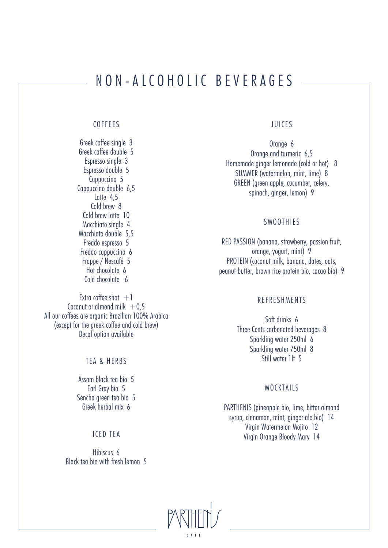# NON-ALCOHOLIC BEVERAGES

### COFFEES

Greek coffee single 3 Greek coffee double 5 Espresso single 3 Espresso double 5 Cappuccino 5 Cappuccino double 6,5 Latte 4,5 Cold brew 8 Cold brew latte 10 Macchiato single 4 Macchiato double 5,5 Freddo espresso 5 Freddo cappuccino 6 Frappe / Nescafé 5 Hot chocolate 6 Cold chocolate 6

Extra coffee shot  $+1$ Coconut or almond milk  $+0.5$ All our coffees are organic Brazilian 100% Arabica (except for the greek coffee and cold brew) Decaf option available

### TEA & HERBS

Assam black tea bio 5 Earl Grey bio 5 Sencha green tea bio 5 Greek herbal mix 6

### ICED TEA

Hibiscus 6 Black tea bio with fresh lemon 5

# JUICES

Orange 6 Orange and turmeric 6,5 Homemade ginger lemonade (cold or hot) 8 SUMMER (watermelon, mint, lime) 8 GREEN (green apple, cucumber, celery, spinach, ginger, lemon) 9

### **SMOOTHIES**

RED PASSION (banana, strawberry, passion fruit, orange, yogurt, mint) 9 PROTEIN (coconut milk, banana, dates, oats, peanut butter, brown rice protein bio, cacao bio) 9

### REFRESHMENTS

Soft drinks 6 Three Cents carbonated beverages 8 Sparkling water 250ml 6 Sparkling water 750ml 8 Still water 1lt 5

### MOCKTAILS

PARTHENIS (pineapple bio, lime, bitter almond syrup, cinnamon, mint, ginger ale bio) 14 Virgin Watermelon Mojito 12 Virgin Orange Bloody Mary 14